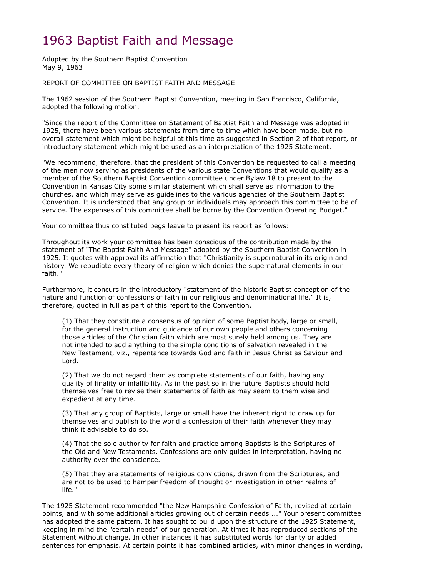# 1963 Baptist Faith and Message

Adopted by the Southern Baptist Convention May 9, 1963

#### REPORT OF COMMITTEE ON BAPTIST FAITH AND MESSAGE

The 1962 session of the Southern Baptist Convention, meeting in San Francisco, California, adopted the following motion.

"Since the report of the Committee on Statement of Baptist Faith and Message was adopted in 1925, there have been various statements from time to time which have been made, but no overall statement which might be helpful at this time as suggested in Section 2 of that report, or introductory statement which might be used as an interpretation of the 1925 Statement.

"We recommend, therefore, that the president of this Convention be requested to call a meeting of the men now serving as presidents of the various state Conventions that would qualify as a member of the Southern Baptist Convention committee under Bylaw 18 to present to the Convention in Kansas City some similar statement which shall serve as information to the churches, and which may serve as guidelines to the various agencies of the Southern Baptist Convention. It is understood that any group or individuals may approach this committee to be of service. The expenses of this committee shall be borne by the Convention Operating Budget."

Your committee thus constituted begs leave to present its report as follows:

Throughout its work your committee has been conscious of the contribution made by the statement of "The Baptist Faith And Message" adopted by the Southern Baptist Convention in 1925. It quotes with approval its affirmation that "Christianity is supernatural in its origin and history. We repudiate every theory of religion which denies the supernatural elements in our faith."

Furthermore, it concurs in the introductory "statement of the historic Baptist conception of the nature and function of confessions of faith in our religious and denominational life." It is, therefore, quoted in full as part of this report to the Convention.

(1) That they constitute a consensus of opinion of some Baptist body, large or small, for the general instruction and guidance of our own people and others concerning those articles of the Christian faith which are most surely held among us. They are not intended to add anything to the simple conditions of salvation revealed in the New Testament, viz., repentance towards God and faith in Jesus Christ as Saviour and Lord.

(2) That we do not regard them as complete statements of our faith, having any quality of finality or infallibility. As in the past so in the future Baptists should hold themselves free to revise their statements of faith as may seem to them wise and expedient at any time.

(3) That any group of Baptists, large or small have the inherent right to draw up for themselves and publish to the world a confession of their faith whenever they may think it advisable to do so.

(4) That the sole authority for faith and practice among Baptists is the Scriptures of the Old and New Testaments. Confessions are only guides in interpretation, having no authority over the conscience.

(5) That they are statements of religious convictions, drawn from the Scriptures, and are not to be used to hamper freedom of thought or investigation in other realms of life."

The 1925 Statement recommended "the New Hampshire Confession of Faith, revised at certain points, and with some additional articles growing out of certain needs ..." Your present committee has adopted the same pattern. It has sought to build upon the structure of the 1925 Statement, keeping in mind the "certain needs" of our generation. At times it has reproduced sections of the Statement without change. In other instances it has substituted words for clarity or added sentences for emphasis. At certain points it has combined articles, with minor changes in wording,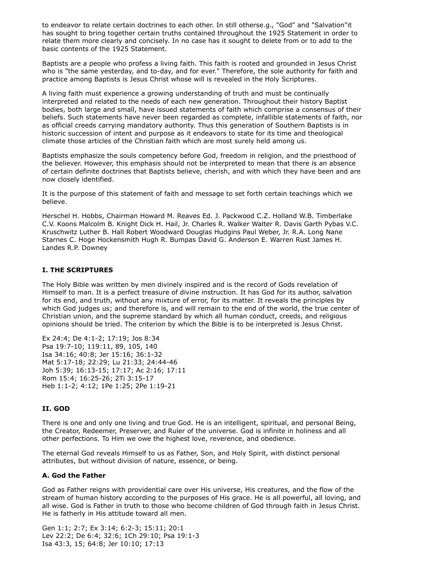to endeavor to relate certain doctrines to each other. In still otherse.g., "God" and "Salvation"it has sought to bring together certain truths contained throughout the 1925 Statement in order to relate them more clearly and concisely. In no case has it sought to delete from or to add to the basic contents of the 1925 Statement.

Baptists are a people who profess a living faith. This faith is rooted and grounded in Jesus Christ who is "the same yesterday, and to-day, and for ever." Therefore, the sole authority for faith and practice among Baptists is Jesus Christ whose will is revealed in the Holy Scriptures.

A living faith must experience a growing understanding of truth and must be continually interpreted and related to the needs of each new generation. Throughout their history Baptist bodies, both large and small, have issued statements of faith which comprise a consensus of their beliefs. Such statements have never been regarded as complete, infallible statements of faith, nor as official creeds carrying mandatory authority. Thus this generation of Southern Baptists is in historic succession of intent and purpose as it endeavors to state for its time and theological climate those articles of the Christian faith which are most surely held among us.

Baptists emphasize the souls competency before God, freedom in religion, and the priesthood of the believer. However, this emphasis should not be interpreted to mean that there is an absence of certain definite doctrines that Baptists believe, cherish, and with which they have been and are now closely identified.

It is the purpose of this statement of faith and message to set forth certain teachings which we believe.

Herschel H. Hobbs, Chairman Howard M. Reaves Ed. J. Packwood C.Z. Holland W.B. Timberlake C.V. Koons Malcolm B. Knight Dick H. Hail, Jr. Charles R. Walker Walter R. Davis Garth Pybas V.C. Kruschwitz Luther B. Hall Robert Woodward Douglas Hudgins Paul Weber, Jr. R.A. Long Nane Starnes C. Hoge Hockensmith Hugh R. Bumpas David G. Anderson E. Warren Rust James H. Landes R.P. Downey

# **I. THE SCRIPTURES**

The Holy Bible was written by men divinely inspired and is the record of Gods revelation of Himself to man. It is a perfect treasure of divine instruction. It has God for its author, salvation for its end, and truth, without any mixture of error, for its matter. It reveals the principles by which God judges us; and therefore is, and will remain to the end of the world, the true center of Christian union, and the supreme standard by which all human conduct, creeds, and religious opinions should be tried. The criterion by which the Bible is to be interpreted is Jesus Christ.

Ex 24:4; De 4:1-2; 17:19; Jos 8:34 Psa 19:7-10; 119:11, 89, 105, 140 Isa 34:16; 40:8; Jer 15:16; 36:1-32 Mat 5:17-18; 22:29; Lu 21:33; 24:44-46 Joh 5:39; 16:13-15; 17:17; Ac 2:16; 17:11 Rom 15:4; 16:25-26; 2Ti 3:15-17 Heb 1:1-2; 4:12; 1Pe 1:25; 2Pe 1:19-21

#### **II. GOD**

There is one and only one living and true God. He is an intelligent, spiritual, and personal Being, the Creator, Redeemer, Preserver, and Ruler of the universe. God is infinite in holiness and all other perfections. To Him we owe the highest love, reverence, and obedience.

The eternal God reveals Himself to us as Father, Son, and Holy Spirit, with distinct personal attributes, but without division of nature, essence, or being.

#### **A. God the Father**

God as Father reigns with providential care over His universe, His creatures, and the flow of the stream of human history according to the purposes of His grace. He is all powerful, all loving, and all wise. God is Father in truth to those who become children of God through faith in Jesus Christ. He is fatherly in His attitude toward all men.

Gen 1:1; 2:7; Ex 3:14; 6:2-3; 15:11; 20:1 Lev 22:2; De 6:4; 32:6; 1Ch 29:10; Psa 19:1-3 Isa 43:3, 15; 64:8; Jer 10:10; 17:13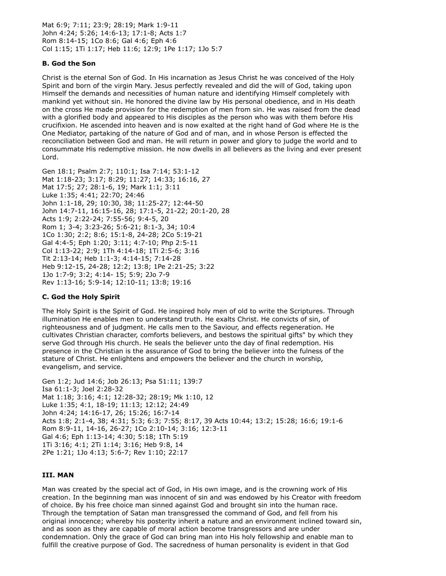Mat 6:9; 7:11; 23:9; 28:19; Mark 1:9-11 John 4:24; 5:26; 14:6-13; 17:1-8; Acts 1:7 Rom 8:14-15; 1Co 8:6; Gal 4:6; Eph 4:6 Col 1:15; 1Ti 1:17; Heb 11:6; 12:9; 1Pe 1:17; 1Jo 5:7

## **B. God the Son**

Christ is the eternal Son of God. In His incarnation as Jesus Christ he was conceived of the Holy Spirit and born of the virgin Mary. Jesus perfectly revealed and did the will of God, taking upon Himself the demands and necessities of human nature and identifying Himself completely with mankind yet without sin. He honored the divine law by His personal obedience, and in His death on the cross He made provision for the redemption of men from sin. He was raised from the dead with a glorified body and appeared to His disciples as the person who was with them before His crucifixion. He ascended into heaven and is now exalted at the right hand of God where He is the One Mediator, partaking of the nature of God and of man, and in whose Person is effected the reconciliation between God and man. He will return in power and glory to judge the world and to consummate His redemptive mission. He now dwells in all believers as the living and ever present Lord.

Gen 18:1; Psalm 2:7; 110:1; Isa 7:14; 53:1-12 Mat 1:18-23; 3:17; 8:29; 11:27; 14:33; 16:16, 27 Mat 17:5; 27; 28:1-6, 19; Mark 1:1; 3:11 Luke 1:35; 4:41; 22:70; 24:46 John 1:1-18, 29; 10:30, 38; 11:25-27; 12:44-50 John 14:7-11, 16:15-16, 28; 17:1-5, 21-22; 20:1-20, 28 Acts 1:9; 2:22-24; 7:55-56; 9:4-5, 20 Rom 1; 3-4; 3:23-26; 5:6-21; 8:1-3, 34; 10:4 1Co 1:30; 2:2; 8:6; 15:1-8, 24-28; 2Co 5:19-21 Gal 4:4-5; Eph 1:20; 3:11; 4:7-10; Php 2:5-11 Col 1:13-22; 2:9; 1Th 4:14-18; 1Ti 2:5-6; 3:16 Tit 2:13-14; Heb 1:1-3; 4:14-15; 7:14-28 Heb 9:12-15, 24-28; 12:2; 13:8; 1Pe 2:21-25; 3:22 1Jo 1:7-9; 3:2; 4:14- 15; 5:9; 2Jo 7-9 Rev 1:13-16; 5:9-14; 12:10-11; 13:8; 19:16

#### **C. God the Holy Spirit**

The Holy Spirit is the Spirit of God. He inspired holy men of old to write the Scriptures. Through illumination He enables men to understand truth. He exalts Christ. He convicts of sin, of righteousness and of judgment. He calls men to the Saviour, and effects regeneration. He cultivates Christian character, comforts believers, and bestows the spiritual gifts" by which they serve God through His church. He seals the believer unto the day of final redemption. His presence in the Christian is the assurance of God to bring the believer into the fulness of the stature of Christ. He enlightens and empowers the believer and the church in worship, evangelism, and service.

Gen 1:2; Jud 14:6; Job 26:13; Psa 51:11; 139:7 Isa 61:1-3; Joel 2:28-32 Mat 1:18; 3:16; 4:1; 12:28-32; 28:19; Mk 1:10, 12 Luke 1:35; 4:1, 18-19; 11:13; 12:12; 24:49 John 4:24; 14:16-17, 26; 15:26; 16:7-14 Acts 1:8; 2:1-4, 38; 4:31; 5:3; 6:3; 7:55; 8:17, 39 Acts 10:44; 13:2; 15:28; 16:6; 19:1-6 Rom 8:9-11, 14-16, 26-27; 1Co 2:10-14; 3:16; 12:3-11 Gal 4:6; Eph 1:13-14; 4:30; 5:18; 1Th 5:19 1Ti 3:16; 4:1; 2Ti 1:14; 3:16; Heb 9:8, 14 2Pe 1:21; 1Jo 4:13; 5:6-7; Rev 1:10; 22:17

#### **III. MAN**

Man was created by the special act of God, in His own image, and is the crowning work of His creation. In the beginning man was innocent of sin and was endowed by his Creator with freedom of choice. By his free choice man sinned against God and brought sin into the human race. Through the temptation of Satan man transgressed the command of God, and fell from his original innocence; whereby his posterity inherit a nature and an environment inclined toward sin, and as soon as they are capable of moral action become transgressors and are under condemnation. Only the grace of God can bring man into His holy fellowship and enable man to fulfill the creative purpose of God. The sacredness of human personality is evident in that God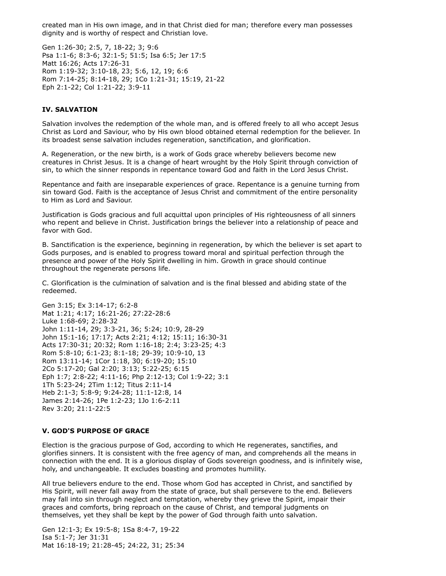created man in His own image, and in that Christ died for man; therefore every man possesses dignity and is worthy of respect and Christian love.

Gen 1:26-30; 2:5, 7, 18-22; 3; 9:6 Psa 1:1-6; 8:3-6; 32:1-5; 51:5; Isa 6:5; Jer 17:5 Matt 16:26; Acts 17:26-31 Rom 1:19-32; 3:10-18, 23; 5:6, 12, 19; 6:6 Rom 7:14-25; 8:14-18, 29; 1Co 1:21-31; 15:19, 21-22 Eph 2:1-22; Col 1:21-22; 3:9-11

## **IV. SALVATION**

Salvation involves the redemption of the whole man, and is offered freely to all who accept Jesus Christ as Lord and Saviour, who by His own blood obtained eternal redemption for the believer. In its broadest sense salvation includes regeneration, sanctification, and glorification.

A. Regeneration, or the new birth, is a work of Gods grace whereby believers become new creatures in Christ Jesus. It is a change of heart wrought by the Holy Spirit through conviction of sin, to which the sinner responds in repentance toward God and faith in the Lord Jesus Christ.

Repentance and faith are inseparable experiences of grace. Repentance is a genuine turning from sin toward God. Faith is the acceptance of Jesus Christ and commitment of the entire personality to Him as Lord and Saviour.

Justification is Gods gracious and full acquittal upon principles of His righteousness of all sinners who repent and believe in Christ. Justification brings the believer into a relationship of peace and favor with God.

B. Sanctification is the experience, beginning in regeneration, by which the believer is set apart to Gods purposes, and is enabled to progress toward moral and spiritual perfection through the presence and power of the Holy Spirit dwelling in him. Growth in grace should continue throughout the regenerate persons life.

C. Glorification is the culmination of salvation and is the final blessed and abiding state of the redeemed.

Gen 3:15; Ex 3:14-17; 6:2-8 Mat 1:21; 4:17; 16:21-26; 27:22-28:6 Luke 1:68-69; 2:28-32 John 1:11-14, 29; 3:3-21, 36; 5:24; 10:9, 28-29 John 15:1-16; 17:17; Acts 2:21; 4:12; 15:11; 16:30-31 Acts 17:30-31; 20:32; Rom 1:16-18; 2:4; 3:23-25; 4:3 Rom 5:8-10; 6:1-23; 8:1-18; 29-39; 10:9-10, 13 Rom 13:11-14; 1Cor 1:18, 30; 6:19-20; 15:10 2Co 5:17-20; Gal 2:20; 3:13; 5:22-25; 6:15 Eph 1:7; 2:8-22; 4:11-16; Php 2:12-13; Col 1:9-22; 3:1 1Th 5:23-24; 2Tim 1:12; Titus 2:11-14 Heb 2:1-3; 5:8-9; 9:24-28; 11:1-12:8, 14 James 2:14-26; 1Pe 1:2-23; 1Jo 1:6-2:11 Rev 3:20; 21:1-22:5

#### **V. GOD'S PURPOSE OF GRACE**

Election is the gracious purpose of God, according to which He regenerates, sanctifies, and glorifies sinners. It is consistent with the free agency of man, and comprehends all the means in connection with the end. It is a glorious display of Gods sovereign goodness, and is infinitely wise, holy, and unchangeable. It excludes boasting and promotes humility.

All true believers endure to the end. Those whom God has accepted in Christ, and sanctified by His Spirit, will never fall away from the state of grace, but shall persevere to the end. Believers may fall into sin through neglect and temptation, whereby they grieve the Spirit, impair their graces and comforts, bring reproach on the cause of Christ, and temporal judgments on themselves, yet they shall be kept by the power of God through faith unto salvation.

Gen 12:1-3; Ex 19:5-8; 1Sa 8:4-7, 19-22 Isa 5:1-7; Jer 31:31 Mat 16:18-19; 21:28-45; 24:22, 31; 25:34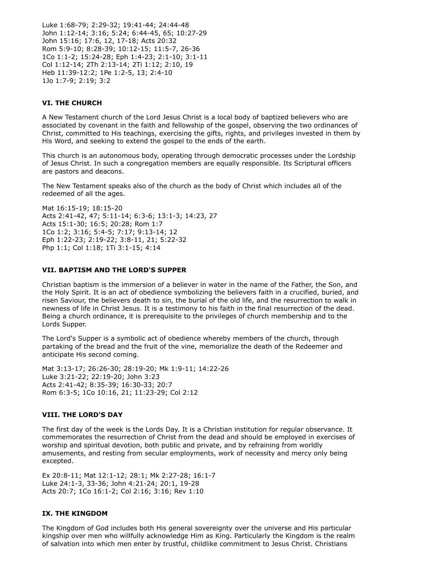Luke 1:68-79; 2:29-32; 19:41-44; 24:44-48 John 1:12-14; 3:16; 5:24; 6:44-45, 65; 10:27-29 John 15:16; 17:6, 12, 17-18; Acts 20:32 Rom 5:9-10; 8:28-39; 10:12-15; 11:5-7, 26-36 1Co 1:1-2; 15:24-28; Eph 1:4-23; 2:1-10; 3:1-11 Col 1:12-14; 2Th 2:13-14; 2Ti 1:12; 2:10, 19 Heb 11:39-12:2; 1Pe 1:2-5, 13; 2:4-10 1Jo 1:7-9; 2:19; 3:2

#### **VI. THE CHURCH**

A New Testament church of the Lord Jesus Christ is a local body of baptized believers who are associated by covenant in the faith and fellowship of the gospel, observing the two ordinances of Christ, committed to His teachings, exercising the gifts, rights, and privileges invested in them by His Word, and seeking to extend the gospel to the ends of the earth.

This church is an autonomous body, operating through democratic processes under the Lordship of Jesus Christ. In such a congregation members are equally responsible. Its Scriptural officers are pastors and deacons.

The New Testament speaks also of the church as the body of Christ which includes all of the redeemed of all the ages.

Mat 16:15-19; 18:15-20 Acts 2:41-42, 47; 5:11-14; 6:3-6; 13:1-3; 14:23, 27 Acts 15:1-30; 16:5; 20:28; Rom 1:7 1Co 1:2; 3:16; 5:4-5; 7:17; 9:13-14; 12 Eph 1:22-23; 2:19-22; 3:8-11, 21; 5:22-32 Php 1:1; Col 1:18; 1Ti 3:1-15; 4:14

#### **VII. BAPTISM AND THE LORD'S SUPPER**

Christian baptism is the immersion of a believer in water in the name of the Father, the Son, and the Holy Spirit. It is an act of obedience symbolizing the believers faith in a crucified, buried, and risen Saviour, the believers death to sin, the burial of the old life, and the resurrection to walk in newness of life in Christ Jesus. It is a testimony to his faith in the final resurrection of the dead. Being a church ordinance, it is prerequisite to the privileges of church membership and to the Lords Supper.

The Lord's Supper is a symbolic act of obedience whereby members of the church, through partaking of the bread and the fruit of the vine, memorialize the death of the Redeemer and anticipate His second coming.

Mat 3:13-17; 26:26-30; 28:19-20; Mk 1:9-11; 14:22-26 Luke 3:21-22; 22:19-20; John 3:23 Acts 2:41-42; 8:35-39; 16:30-33; 20:7 Rom 6:3-5; 1Co 10:16, 21; 11:23-29; Col 2:12

#### **VIII. THE LORD'S DAY**

The first day of the week is the Lords Day. It is a Christian institution for regular observance. It commemorates the resurrection of Christ from the dead and should be employed in exercises of worship and spiritual devotion, both public and private, and by refraining from worldly amusements, and resting from secular employments, work of necessity and mercy only being excepted.

Ex 20:8-11; Mat 12:1-12; 28:1; Mk 2:27-28; 16:1-7 Luke 24:1-3, 33-36; John 4:21-24; 20:1, 19-28 Acts 20:7; 1Co 16:1-2; Col 2:16; 3:16; Rev 1:10

#### **IX. THE KINGDOM**

The Kingdom of God includes both His general sovereignty over the universe and His particular kingship over men who willfully acknowledge Him as King. Particularly the Kingdom is the realm of salvation into which men enter by trustful, childlike commitment to Jesus Christ. Christians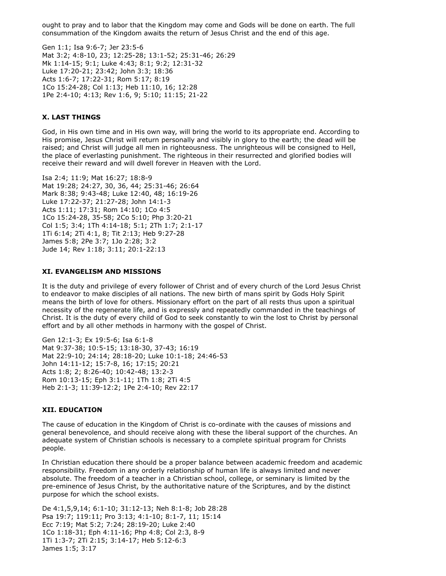ought to pray and to labor that the Kingdom may come and Gods will be done on earth. The full consummation of the Kingdom awaits the return of Jesus Christ and the end of this age.

Gen 1:1; Isa 9:6-7; Jer 23:5-6 Mat 3:2; 4:8-10, 23; 12:25-28; 13:1-52; 25:31-46; 26:29 Mk 1:14-15; 9:1; Luke 4:43; 8:1; 9:2; 12:31-32 Luke 17:20-21; 23:42; John 3:3; 18:36 Acts 1:6-7; 17:22-31; Rom 5:17; 8:19 1Co 15:24-28; Col 1:13; Heb 11:10, 16; 12:28 1Pe 2:4-10; 4:13; Rev 1:6, 9; 5:10; 11:15; 21-22

## **X. LAST THINGS**

God, in His own time and in His own way, will bring the world to its appropriate end. According to His promise, Jesus Christ will return personally and visibly in glory to the earth; the dead will be raised; and Christ will judge all men in righteousness. The unrighteous will be consigned to Hell, the place of everlasting punishment. The righteous in their resurrected and glorified bodies will receive their reward and will dwell forever in Heaven with the Lord.

Isa 2:4; 11:9; Mat 16:27; 18:8-9 Mat 19:28; 24:27, 30, 36, 44; 25:31-46; 26:64 Mark 8:38; 9:43-48; Luke 12:40, 48; 16:19-26 Luke 17:22-37; 21:27-28; John 14:1-3 Acts 1:11; 17:31; Rom 14:10; 1Co 4:5 1Co 15:24-28, 35-58; 2Co 5:10; Php 3:20-21 Col 1:5; 3:4; 1Th 4:14-18; 5:1; 2Th 1:7; 2:1-17 1Ti 6:14; 2Ti 4:1, 8; Tit 2:13; Heb 9:27-28 James 5:8; 2Pe 3:7; 1Jo 2:28; 3:2 Jude 14; Rev 1:18; 3:11; 20:1-22:13

#### **XI. EVANGELISM AND MISSIONS**

It is the duty and privilege of every follower of Christ and of every church of the Lord Jesus Christ to endeavor to make disciples of all nations. The new birth of mans spirit by Gods Holy Spirit means the birth of love for others. Missionary effort on the part of all rests thus upon a spiritual necessity of the regenerate life, and is expressly and repeatedly commanded in the teachings of Christ. It is the duty of every child of God to seek constantly to win the lost to Christ by personal effort and by all other methods in harmony with the gospel of Christ.

Gen 12:1-3; Ex 19:5-6; Isa 6:1-8 Mat 9:37-38; 10:5-15; 13:18-30, 37-43; 16:19 Mat 22:9-10; 24:14; 28:18-20; Luke 10:1-18; 24:46-53 John 14:11-12; 15:7-8, 16; 17:15; 20:21 Acts 1:8; 2; 8:26-40; 10:42-48; 13:2-3 Rom 10:13-15; Eph 3:1-11; 1Th 1:8; 2Ti 4:5 Heb 2:1-3; 11:39-12:2; 1Pe 2:4-10; Rev 22:17

#### **XII. EDUCATION**

The cause of education in the Kingdom of Christ is co-ordinate with the causes of missions and general benevolence, and should receive along with these the liberal support of the churches. An adequate system of Christian schools is necessary to a complete spiritual program for Christs people.

In Christian education there should be a proper balance between academic freedom and academic responsibility. Freedom in any orderly relationship of human life is always limited and never absolute. The freedom of a teacher in a Christian school, college, or seminary is limited by the pre-eminence of Jesus Christ, by the authoritative nature of the Scriptures, and by the distinct purpose for which the school exists.

De 4:1,5,9,14; 6:1-10; 31:12-13; Neh 8:1-8; Job 28:28 Psa 19:7; 119:11; Pro 3:13; 4:1-10; 8:1-7, 11; 15:14 Ecc 7:19; Mat 5:2; 7:24; 28:19-20; Luke 2:40 1Co 1:18-31; Eph 4:11-16; Php 4:8; Col 2:3, 8-9 1Ti 1:3-7; 2Ti 2:15; 3:14-17; Heb 5:12-6:3 James 1:5; 3:17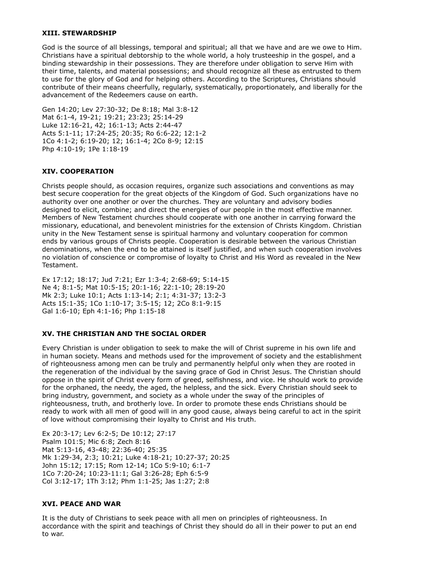#### **XIII. STEWARDSHIP**

God is the source of all blessings, temporal and spiritual; all that we have and are we owe to Him. Christians have a spiritual debtorship to the whole world, a holy trusteeship in the gospel, and a binding stewardship in their possessions. They are therefore under obligation to serve Him with their time, talents, and material possessions; and should recognize all these as entrusted to them to use for the glory of God and for helping others. According to the Scriptures, Christians should contribute of their means cheerfully, regularly, systematically, proportionately, and liberally for the advancement of the Redeemers cause on earth.

Gen 14:20; Lev 27:30-32; De 8:18; Mal 3:8-12 Mat 6:1-4, 19-21; 19:21; 23:23; 25:14-29 Luke 12:16-21, 42; 16:1-13; Acts 2:44-47 Acts 5:1-11; 17:24-25; 20:35; Ro 6:6-22; 12:1-2 1Co 4:1-2; 6:19-20; 12; 16:1-4; 2Co 8-9; 12:15 Php 4:10-19; 1Pe 1:18-19

# **XIV. COOPERATION**

Christs people should, as occasion requires, organize such associations and conventions as may best secure cooperation for the great objects of the Kingdom of God. Such organizations have no authority over one another or over the churches. They are voluntary and advisory bodies designed to elicit, combine; and direct the energies of our people in the most effective manner. Members of New Testament churches should cooperate with one another in carrying forward the missionary, educational, and benevolent ministries for the extension of Christs Kingdom. Christian unity in the New Testament sense is spiritual harmony and voluntary cooperation for common ends by various groups of Christs people. Cooperation is desirable between the various Christian denominations, when the end to be attained is itself justified, and when such cooperation involves no violation of conscience or compromise of loyalty to Christ and His Word as revealed in the New Testament.

Ex 17:12; 18:17; Jud 7:21; Ezr 1:3-4; 2:68-69; 5:14-15 Ne 4; 8:1-5; Mat 10:5-15; 20:1-16; 22:1-10; 28:19-20 Mk 2:3; Luke 10:1; Acts 1:13-14; 2:1; 4:31-37; 13:2-3 Acts 15:1-35; 1Co 1:10-17; 3:5-15; 12; 2Co 8:1-9:15 Gal 1:6-10; Eph 4:1-16; Php 1:15-18

# **XV. THE CHRISTIAN AND THE SOCIAL ORDER**

Every Christian is under obligation to seek to make the will of Christ supreme in his own life and in human society. Means and methods used for the improvement of society and the establishment of righteousness among men can be truly and permanently helpful only when they are rooted in the regeneration of the individual by the saving grace of God in Christ Jesus. The Christian should oppose in the spirit of Christ every form of greed, selfishness, and vice. He should work to provide for the orphaned, the needy, the aged, the helpless, and the sick. Every Christian should seek to bring industry, government, and society as a whole under the sway of the principles of righteousness, truth, and brotherly love. In order to promote these ends Christians should be ready to work with all men of good will in any good cause, always being careful to act in the spirit of love without compromising their loyalty to Christ and His truth.

Ex 20:3-17; Lev 6:2-5; De 10:12; 27:17 Psalm 101:5; Mic 6:8; Zech 8:16 Mat 5:13-16, 43-48; 22:36-40; 25:35 Mk 1:29-34, 2:3; 10:21; Luke 4:18-21; 10:27-37; 20:25 John 15:12; 17:15; Rom 12-14; 1Co 5:9-10; 6:1-7 1Co 7:20-24; 10:23-11:1; Gal 3:26-28; Eph 6:5-9 Col 3:12-17; 1Th 3:12; Phm 1:1-25; Jas 1:27; 2:8

#### **XVI. PEACE AND WAR**

It is the duty of Christians to seek peace with all men on principles of righteousness. In accordance with the spirit and teachings of Christ they should do all in their power to put an end to war.